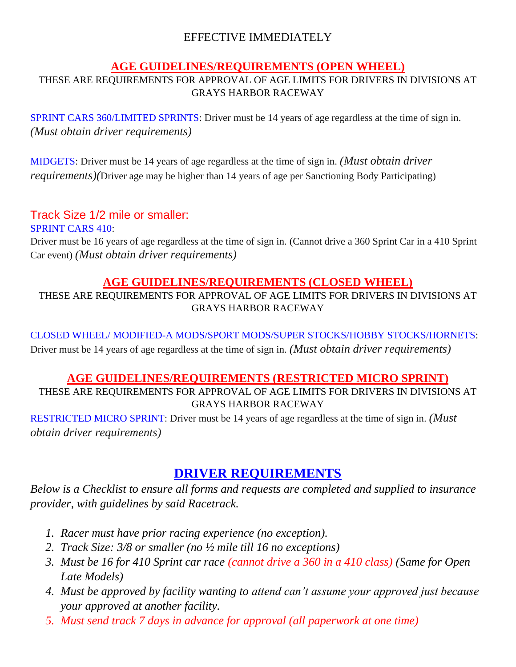## EFFECTIVE IMMEDIATELY

#### **AGE GUIDELINES/REQUIREMENTS (OPEN WHEEL)**

#### THESE ARE REQUIREMENTS FOR APPROVAL OF AGE LIMITS FOR DRIVERS IN DIVISIONS AT GRAYS HARBOR RACEWAY

SPRINT CARS 360/LIMITED SPRINTS: Driver must be 14 years of age regardless at the time of sign in. *(Must obtain driver requirements)*

MIDGETS: Driver must be 14 years of age regardless at the time of sign in. *(Must obtain driver requirements)(*Driver age may be higher than 14 years of age per Sanctioning Body Participating)

## Track Size 1/2 mile or smaller:

SPRINT CARS 410:

Driver must be 16 years of age regardless at the time of sign in. (Cannot drive a 360 Sprint Car in a 410 Sprint Car event) *(Must obtain driver requirements)*

#### **AGE GUIDELINES/REQUIREMENTS (CLOSED WHEEL)**

THESE ARE REQUIREMENTS FOR APPROVAL OF AGE LIMITS FOR DRIVERS IN DIVISIONS AT GRAYS HARBOR RACEWAY

CLOSED WHEEL/ MODIFIED-A MODS/SPORT MODS/SUPER STOCKS/HOBBY STOCKS/HORNETS: Driver must be 14 years of age regardless at the time of sign in. *(Must obtain driver requirements)*

## **AGE GUIDELINES/REQUIREMENTS (RESTRICTED MICRO SPRINT)**

#### THESE ARE REQUIREMENTS FOR APPROVAL OF AGE LIMITS FOR DRIVERS IN DIVISIONS AT GRAYS HARBOR RACEWAY

RESTRICTED MICRO SPRINT: Driver must be 14 years of age regardless at the time of sign in. *(Must obtain driver requirements)*

# **DRIVER REQUIREMENTS**

*Below is a Checklist to ensure all forms and requests are completed and supplied to insurance provider, with guidelines by said Racetrack.*

- *1. Racer must have prior racing experience (no exception).*
- *2. Track Size: 3/8 or smaller (no ½ mile till 16 no exceptions)*
- *3. Must be 16 for 410 Sprint car race (cannot drive a 360 in a 410 class) (Same for Open Late Models)*
- *4. Must be approved by facility wanting to attend can't assume your approved just because your approved at another facility.*
- *5. Must send track 7 days in advance for approval (all paperwork at one time)*